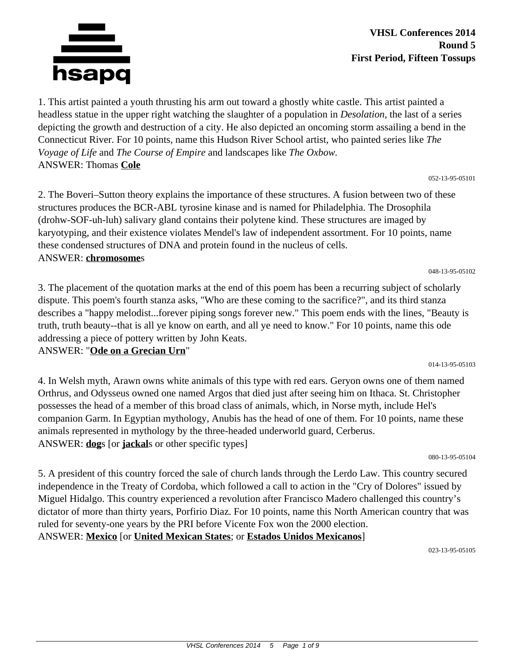

**VHSL Conferences 2014 Round 5 First Period, Fifteen Tossups**

1. This artist painted a youth thrusting his arm out toward a ghostly white castle. This artist painted a headless statue in the upper right watching the slaughter of a population in *Desolation*, the last of a series depicting the growth and destruction of a city. He also depicted an oncoming storm assailing a bend in the Connecticut River. For 10 points, name this Hudson River School artist, who painted series like *The Voyage of Life* and *The Course of Empire* and landscapes like *The Oxbow.* ANSWER: Thomas **Cole**

052-13-95-05101

2. The Boveri–Sutton theory explains the importance of these structures. A fusion between two of these structures produces the BCR-ABL tyrosine kinase and is named for Philadelphia. The Drosophila (drohw-SOF-uh-luh) salivary gland contains their polytene kind. These structures are imaged by karyotyping, and their existence violates Mendel's law of independent assortment. For 10 points, name these condensed structures of DNA and protein found in the nucleus of cells. ANSWER: **chromosome**s

048-13-95-05102

014-13-95-05103

3. The placement of the quotation marks at the end of this poem has been a recurring subject of scholarly dispute. This poem's fourth stanza asks, "Who are these coming to the sacrifice?", and its third stanza describes a "happy melodist...forever piping songs forever new." This poem ends with the lines, "Beauty is truth, truth beauty--that is all ye know on earth, and all ye need to know." For 10 points, name this ode addressing a piece of pottery written by John Keats.

ANSWER: "**Ode on a Grecian Urn**"

4. In Welsh myth, Arawn owns white animals of this type with red ears. Geryon owns one of them named Orthrus, and Odysseus owned one named Argos that died just after seeing him on Ithaca. St. Christopher possesses the head of a member of this broad class of animals, which, in Norse myth, include Hel's companion Garm. In Egyptian mythology, Anubis has the head of one of them. For 10 points, name these animals represented in mythology by the three-headed underworld guard, Cerberus. ANSWER: **dog**s [or **jackal**s or other specific types]

080-13-95-05104

5. A president of this country forced the sale of church lands through the Lerdo Law. This country secured independence in the Treaty of Cordoba, which followed a call to action in the "Cry of Dolores" issued by Miguel Hidalgo. This country experienced a revolution after Francisco Madero challenged this country's dictator of more than thirty years, Porfirio Diaz. For 10 points, name this North American country that was ruled for seventy-one years by the PRI before Vicente Fox won the 2000 election. ANSWER: **Mexico** [or **United Mexican States**; or **Estados Unidos Mexicanos**]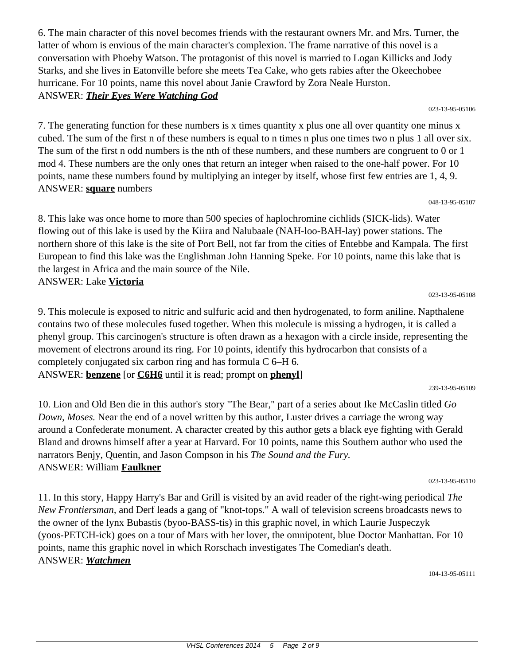6. The main character of this novel becomes friends with the restaurant owners Mr. and Mrs. Turner, the latter of whom is envious of the main character's complexion. The frame narrative of this novel is a conversation with Phoeby Watson. The protagonist of this novel is married to Logan Killicks and Jody Starks, and she lives in Eatonville before she meets Tea Cake, who gets rabies after the Okeechobee hurricane. For 10 points, name this novel about Janie Crawford by Zora Neale Hurston. ANSWER: *Their Eyes Were Watching God*

023-13-95-05106

7. The generating function for these numbers is x times quantity x plus one all over quantity one minus x cubed. The sum of the first n of these numbers is equal to n times n plus one times two n plus 1 all over six. The sum of the first n odd numbers is the nth of these numbers, and these numbers are congruent to 0 or 1 mod 4. These numbers are the only ones that return an integer when raised to the one-half power. For 10 points, name these numbers found by multiplying an integer by itself, whose first few entries are 1, 4, 9. ANSWER: **square** numbers

048-13-95-05107

8. This lake was once home to more than 500 species of haplochromine cichlids (SICK-lids). Water flowing out of this lake is used by the Kiira and Nalubaale (NAH-loo-BAH-lay) power stations. The northern shore of this lake is the site of Port Bell, not far from the cities of Entebbe and Kampala. The first European to find this lake was the Englishman John Hanning Speke. For 10 points, name this lake that is the largest in Africa and the main source of the Nile. ANSWER: Lake **Victoria**

023-13-95-05108

9. This molecule is exposed to nitric and sulfuric acid and then hydrogenated, to form aniline. Napthalene contains two of these molecules fused together. When this molecule is missing a hydrogen, it is called a phenyl group. This carcinogen's structure is often drawn as a hexagon with a circle inside, representing the movement of electrons around its ring. For 10 points, identify this hydrocarbon that consists of a completely conjugated six carbon ring and has formula C 6–H 6. ANSWER: **benzene** [or **C6H6** until it is read; prompt on **phenyl**]

10. Lion and Old Ben die in this author's story "The Bear," part of a series about Ike McCaslin titled *Go Down, Moses.* Near the end of a novel written by this author, Luster drives a carriage the wrong way around a Confederate monument. A character created by this author gets a black eye fighting with Gerald Bland and drowns himself after a year at Harvard. For 10 points, name this Southern author who used the narrators Benjy, Quentin, and Jason Compson in his *The Sound and the Fury.* ANSWER: William **Faulkner**

023-13-95-05110

11. In this story, Happy Harry's Bar and Grill is visited by an avid reader of the right-wing periodical *The New Frontiersman,* and Derf leads a gang of "knot-tops." A wall of television screens broadcasts news to the owner of the lynx Bubastis (byoo-BASS-tis) in this graphic novel, in which Laurie Juspeczyk (yoos-PETCH-ick) goes on a tour of Mars with her lover, the omnipotent, blue Doctor Manhattan. For 10 points, name this graphic novel in which Rorschach investigates The Comedian's death. ANSWER: *Watchmen*

<sup>239-13-95-05109</sup>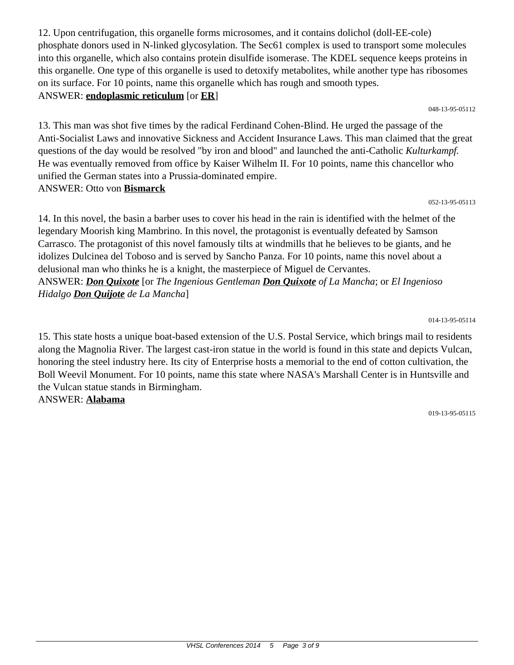12. Upon centrifugation, this organelle forms microsomes, and it contains dolichol (doll-EE-cole) phosphate donors used in N-linked glycosylation. The Sec61 complex is used to transport some molecules into this organelle, which also contains protein disulfide isomerase. The KDEL sequence keeps proteins in this organelle. One type of this organelle is used to detoxify metabolites, while another type has ribosomes on its surface. For 10 points, name this organelle which has rough and smooth types. ANSWER: **endoplasmic reticulum** [or **ER**]

048-13-95-05112

13. This man was shot five times by the radical Ferdinand Cohen-Blind. He urged the passage of the Anti-Socialist Laws and innovative Sickness and Accident Insurance Laws. This man claimed that the great questions of the day would be resolved "by iron and blood" and launched the anti-Catholic *Kulturkampf.* He was eventually removed from office by Kaiser Wilhelm II. For 10 points, name this chancellor who unified the German states into a Prussia-dominated empire. ANSWER: Otto von **Bismarck**

052-13-95-05113

14. In this novel, the basin a barber uses to cover his head in the rain is identified with the helmet of the legendary Moorish king Mambrino. In this novel, the protagonist is eventually defeated by Samson Carrasco. The protagonist of this novel famously tilts at windmills that he believes to be giants, and he idolizes Dulcinea del Toboso and is served by Sancho Panza. For 10 points, name this novel about a delusional man who thinks he is a knight, the masterpiece of Miguel de Cervantes. ANSWER: *Don Quixote* [or *The Ingenious Gentleman Don Quixote of La Mancha*; or *El Ingenioso Hidalgo Don Quijote de La Mancha*]

014-13-95-05114

15. This state hosts a unique boat-based extension of the U.S. Postal Service, which brings mail to residents along the Magnolia River. The largest cast-iron statue in the world is found in this state and depicts Vulcan, honoring the steel industry here. Its city of Enterprise hosts a memorial to the end of cotton cultivation, the Boll Weevil Monument. For 10 points, name this state where NASA's Marshall Center is in Huntsville and the Vulcan statue stands in Birmingham. ANSWER: **Alabama**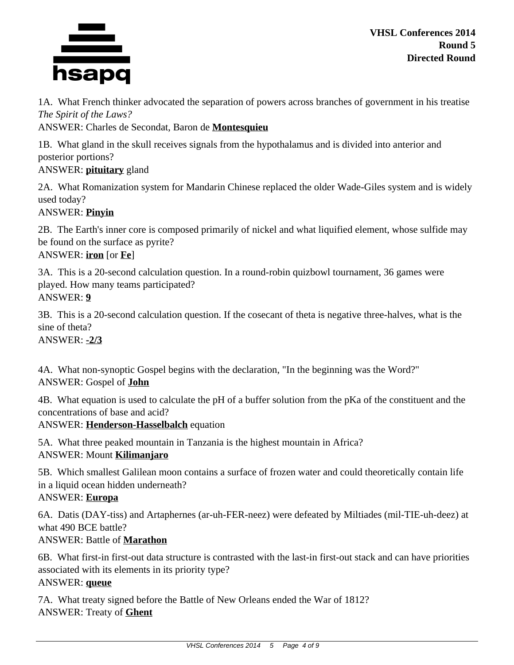

1A. What French thinker advocated the separation of powers across branches of government in his treatise *The Spirit of the Laws?*

ANSWER: Charles de Secondat, Baron de **Montesquieu**

1B. What gland in the skull receives signals from the hypothalamus and is divided into anterior and posterior portions?

# ANSWER: **pituitary** gland

2A. What Romanization system for Mandarin Chinese replaced the older Wade-Giles system and is widely used today?

## ANSWER: **Pinyin**

2B. The Earth's inner core is composed primarily of nickel and what liquified element, whose sulfide may be found on the surface as pyrite?

# ANSWER: **iron** [or **Fe**]

3A. This is a 20-second calculation question. In a round-robin quizbowl tournament, 36 games were played. How many teams participated? ANSWER: **9**

3B. This is a 20-second calculation question. If the cosecant of theta is negative three-halves, what is the sine of theta?

ANSWER: **-2/3**

4A. What non-synoptic Gospel begins with the declaration, "In the beginning was the Word?" ANSWER: Gospel of **John**

4B. What equation is used to calculate the pH of a buffer solution from the pKa of the constituent and the concentrations of base and acid?

ANSWER: **Henderson-Hasselbalch** equation

5A. What three peaked mountain in Tanzania is the highest mountain in Africa? ANSWER: Mount **Kilimanjaro**

5B. Which smallest Galilean moon contains a surface of frozen water and could theoretically contain life in a liquid ocean hidden underneath?

#### ANSWER: **Europa**

6A. Datis (DAY-tiss) and Artaphernes (ar-uh-FER-neez) were defeated by Miltiades (mil-TIE-uh-deez) at what 490 BCE battle?

# ANSWER: Battle of **Marathon**

6B. What first-in first-out data structure is contrasted with the last-in first-out stack and can have priorities associated with its elements in its priority type?

#### ANSWER: **queue**

7A. What treaty signed before the Battle of New Orleans ended the War of 1812? ANSWER: Treaty of **Ghent**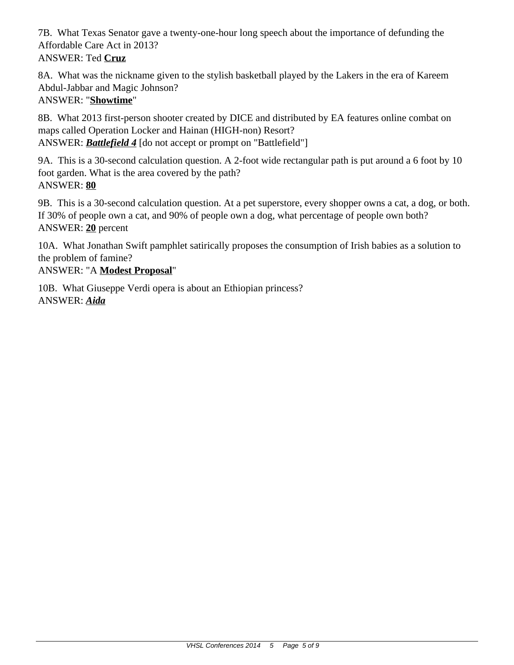7B. What Texas Senator gave a twenty-one-hour long speech about the importance of defunding the Affordable Care Act in 2013? ANSWER: Ted **Cruz**

8A. What was the nickname given to the stylish basketball played by the Lakers in the era of Kareem Abdul-Jabbar and Magic Johnson?

# ANSWER: "**Showtime**"

8B. What 2013 first-person shooter created by DICE and distributed by EA features online combat on maps called Operation Locker and Hainan (HIGH-non) Resort? ANSWER: *Battlefield 4* [do not accept or prompt on "Battlefield"]

9A. This is a 30-second calculation question. A 2-foot wide rectangular path is put around a 6 foot by 10 foot garden. What is the area covered by the path? ANSWER: **80**

9B. This is a 30-second calculation question. At a pet superstore, every shopper owns a cat, a dog, or both. If 30% of people own a cat, and 90% of people own a dog, what percentage of people own both? ANSWER: **20** percent

10A. What Jonathan Swift pamphlet satirically proposes the consumption of Irish babies as a solution to the problem of famine?

# ANSWER: "A **Modest Proposal**"

10B. What Giuseppe Verdi opera is about an Ethiopian princess? ANSWER: *Aida*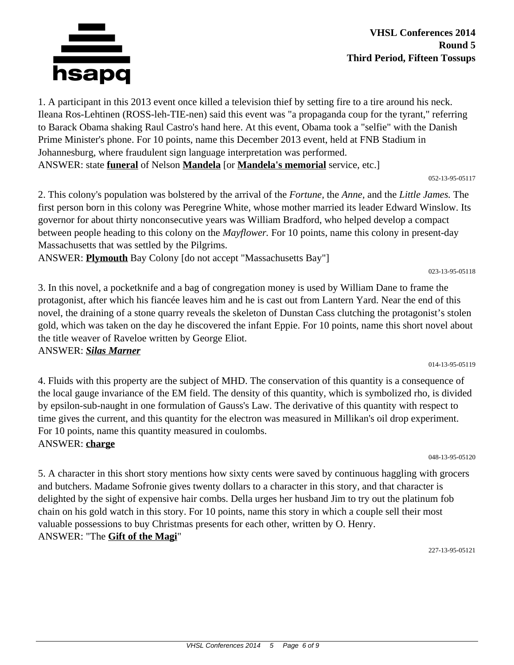

**VHSL Conferences 2014 Round 5 Third Period, Fifteen Tossups**

1. A participant in this 2013 event once killed a television thief by setting fire to a tire around his neck. Ileana Ros-Lehtinen (ROSS-leh-TIE-nen) said this event was "a propaganda coup for the tyrant," referring to Barack Obama shaking Raul Castro's hand here. At this event, Obama took a "selfie" with the Danish Prime Minister's phone. For 10 points, name this December 2013 event, held at FNB Stadium in Johannesburg, where fraudulent sign language interpretation was performed. ANSWER: state **funeral** of Nelson **Mandela** [or **Mandela's memorial** service, etc.]

052-13-95-05117

2. This colony's population was bolstered by the arrival of the *Fortune,* the *Anne,* and the *Little James.* The first person born in this colony was Peregrine White, whose mother married its leader Edward Winslow. Its governor for about thirty nonconsecutive years was William Bradford, who helped develop a compact between people heading to this colony on the *Mayflower.* For 10 points, name this colony in present-day Massachusetts that was settled by the Pilgrims.

ANSWER: **Plymouth** Bay Colony [do not accept "Massachusetts Bay"]

023-13-95-05118

014-13-95-05119

3. In this novel, a pocketknife and a bag of congregation money is used by William Dane to frame the protagonist, after which his fiancée leaves him and he is cast out from Lantern Yard. Near the end of this novel, the draining of a stone quarry reveals the skeleton of Dunstan Cass clutching the protagonist's stolen gold, which was taken on the day he discovered the infant Eppie. For 10 points, name this short novel about the title weaver of Raveloe written by George Eliot.

#### ANSWER: *Silas Marner*

4. Fluids with this property are the subject of MHD. The conservation of this quantity is a consequence of the local gauge invariance of the EM field. The density of this quantity, which is symbolized rho, is divided by epsilon-sub-naught in one formulation of Gauss's Law. The derivative of this quantity with respect to time gives the current, and this quantity for the electron was measured in Millikan's oil drop experiment. For 10 points, name this quantity measured in coulombs. ANSWER: **charge**

048-13-95-05120

5. A character in this short story mentions how sixty cents were saved by continuous haggling with grocers and butchers. Madame Sofronie gives twenty dollars to a character in this story, and that character is delighted by the sight of expensive hair combs. Della urges her husband Jim to try out the platinum fob chain on his gold watch in this story. For 10 points, name this story in which a couple sell their most valuable possessions to buy Christmas presents for each other, written by O. Henry. ANSWER: "The **Gift of the Magi**"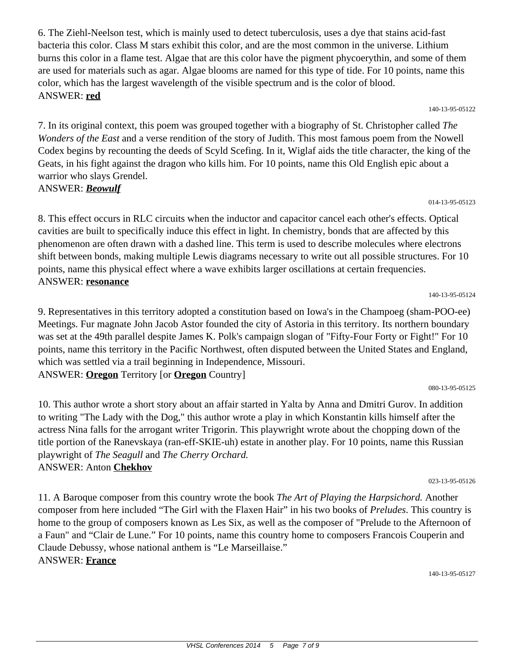6. The Ziehl-Neelson test, which is mainly used to detect tuberculosis, uses a dye that stains acid-fast bacteria this color. Class M stars exhibit this color, and are the most common in the universe. Lithium burns this color in a flame test. Algae that are this color have the pigment phycoerythin, and some of them are used for materials such as agar. Algae blooms are named for this type of tide. For 10 points, name this color, which has the largest wavelength of the visible spectrum and is the color of blood. ANSWER: **red**

140-13-95-05122

014-13-95-05123

140-13-95-05124

7. In its original context, this poem was grouped together with a biography of St. Christopher called *The Wonders of the East* and a verse rendition of the story of Judith. This most famous poem from the Nowell Codex begins by recounting the deeds of Scyld Scefing. In it, Wiglaf aids the title character, the king of the Geats, in his fight against the dragon who kills him. For 10 points, name this Old English epic about a warrior who slays Grendel.

## ANSWER: *Beowulf*

8. This effect occurs in RLC circuits when the inductor and capacitor cancel each other's effects. Optical cavities are built to specifically induce this effect in light. In chemistry, bonds that are affected by this phenomenon are often drawn with a dashed line. This term is used to describe molecules where electrons shift between bonds, making multiple Lewis diagrams necessary to write out all possible structures. For 10 points, name this physical effect where a wave exhibits larger oscillations at certain frequencies. ANSWER: **resonance**

9. Representatives in this territory adopted a constitution based on Iowa's in the Champoeg (sham-POO-ee) Meetings. Fur magnate John Jacob Astor founded the city of Astoria in this territory. Its northern boundary was set at the 49th parallel despite James K. Polk's campaign slogan of "Fifty-Four Forty or Fight!" For 10 points, name this territory in the Pacific Northwest, often disputed between the United States and England, which was settled via a trail beginning in Independence, Missouri. ANSWER: **Oregon** Territory [or **Oregon** Country]

080-13-95-05125

10. This author wrote a short story about an affair started in Yalta by Anna and Dmitri Gurov. In addition to writing "The Lady with the Dog," this author wrote a play in which Konstantin kills himself after the actress Nina falls for the arrogant writer Trigorin. This playwright wrote about the chopping down of the title portion of the Ranevskaya (ran-eff-SKIE-uh) estate in another play. For 10 points, name this Russian playwright of *The Seagull* and *The Cherry Orchard.*

023-13-95-05126

11. A Baroque composer from this country wrote the book *The Art of Playing the Harpsichord.* Another composer from here included "The Girl with the Flaxen Hair" in his two books of *Preludes*. This country is home to the group of composers known as Les Six, as well as the composer of "Prelude to the Afternoon of a Faun" and "Clair de Lune." For 10 points, name this country home to composers Francois Couperin and Claude Debussy, whose national anthem is "Le Marseillaise." ANSWER: **France**

140-13-95-05127

# ANSWER: Anton **Chekhov**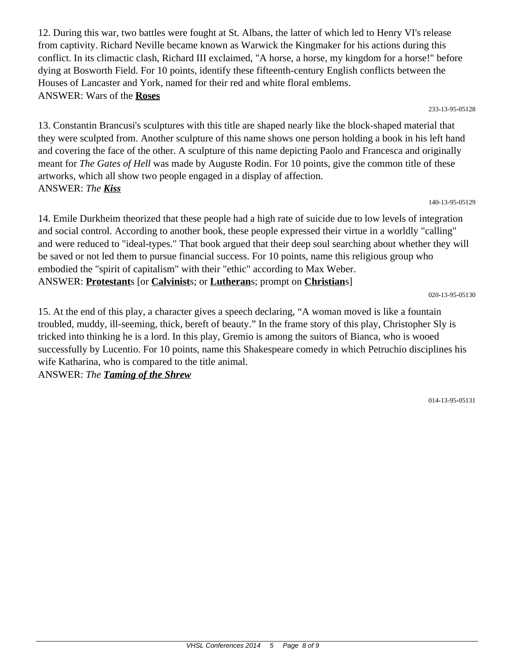12. During this war, two battles were fought at St. Albans, the latter of which led to Henry VI's release from captivity. Richard Neville became known as Warwick the Kingmaker for his actions during this conflict. In its climactic clash, Richard III exclaimed, "A horse, a horse, my kingdom for a horse!" before dying at Bosworth Field. For 10 points, identify these fifteenth-century English conflicts between the Houses of Lancaster and York, named for their red and white floral emblems. ANSWER: Wars of the **Roses**

233-13-95-05128

13. Constantin Brancusi's sculptures with this title are shaped nearly like the block-shaped material that they were sculpted from. Another sculpture of this name shows one person holding a book in his left hand and covering the face of the other. A sculpture of this name depicting Paolo and Francesca and originally meant for *The Gates of Hell* was made by Auguste Rodin. For 10 points, give the common title of these artworks, which all show two people engaged in a display of affection. ANSWER: *The Kiss*

140-13-95-05129

14. Emile Durkheim theorized that these people had a high rate of suicide due to low levels of integration and social control. According to another book, these people expressed their virtue in a worldly "calling" and were reduced to "ideal-types." That book argued that their deep soul searching about whether they will be saved or not led them to pursue financial success. For 10 points, name this religious group who embodied the "spirit of capitalism" with their "ethic" according to Max Weber. ANSWER: **Protestant**s [or **Calvinist**s; or **Lutheran**s; prompt on **Christian**s]

020-13-95-05130

15. At the end of this play, a character gives a speech declaring, "A woman moved is like a fountain troubled, muddy, ill-seeming, thick, bereft of beauty." In the frame story of this play, Christopher Sly is tricked into thinking he is a lord. In this play, Gremio is among the suitors of Bianca, who is wooed successfully by Lucentio. For 10 points, name this Shakespeare comedy in which Petruchio disciplines his wife Katharina, who is compared to the title animal.

ANSWER: *The Taming of the Shrew*